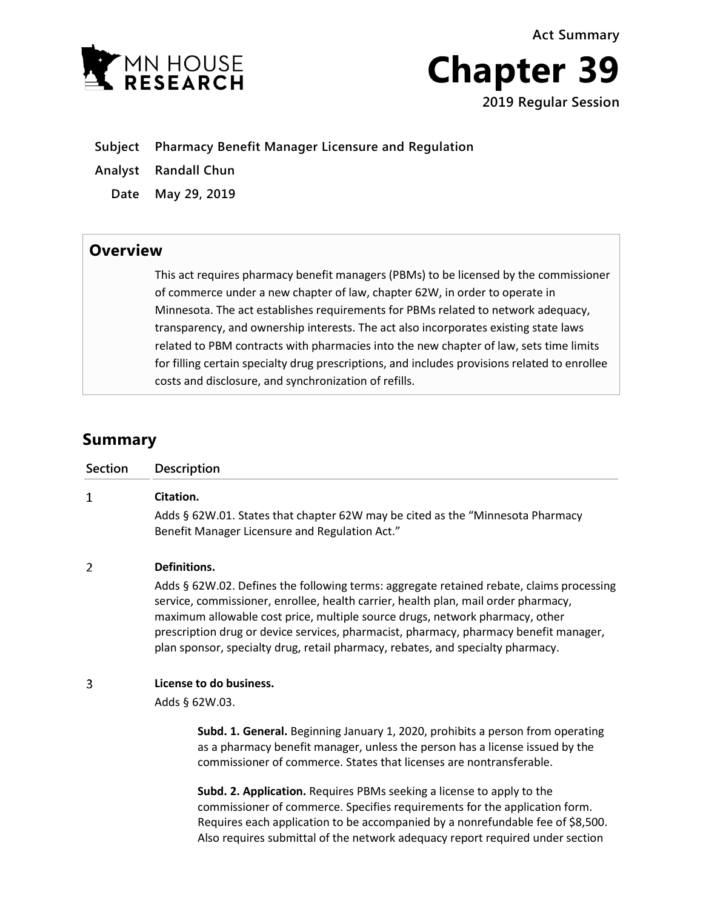**Act Summary**





**Subject Pharmacy Benefit Manager Licensure and Regulation**

**Analyst Randall Chun**

**Date May 29, 2019**

## **Overview**

This act requires pharmacy benefit managers (PBMs) to be licensed by the commissioner of commerce under a new chapter of law, chapter 62W, in order to operate in Minnesota. The act establishes requirements for PBMs related to network adequacy, transparency, and ownership interests. The act also incorporates existing state laws related to PBM contracts with pharmacies into the new chapter of law, sets time limits for filling certain specialty drug prescriptions, and includes provisions related to enrollee costs and disclosure, and synchronization of refills.

# **Summary**

| <b>Section</b> | <b>Description</b>                                                                                                                                                                                                                                                                                                                                                                                                                                         |
|----------------|------------------------------------------------------------------------------------------------------------------------------------------------------------------------------------------------------------------------------------------------------------------------------------------------------------------------------------------------------------------------------------------------------------------------------------------------------------|
| 1              | Citation.<br>Adds § 62W.01. States that chapter 62W may be cited as the "Minnesota Pharmacy<br>Benefit Manager Licensure and Regulation Act."                                                                                                                                                                                                                                                                                                              |
| 2              | Definitions.<br>Adds § 62W.02. Defines the following terms: aggregate retained rebate, claims processing<br>service, commissioner, enrollee, health carrier, health plan, mail order pharmacy,<br>maximum allowable cost price, multiple source drugs, network pharmacy, other<br>prescription drug or device services, pharmacist, pharmacy, pharmacy benefit manager,<br>plan sponsor, specialty drug, retail pharmacy, rebates, and specialty pharmacy. |
| 3              | License to do business.<br>Adds § 62W.03.<br>Subd. 1. General. Beginning January 1, 2020, prohibits a person from operating<br>as a pharmacy benefit manager, unless the person has a license issued by the<br>commissioner of commerce. States that licenses are nontransferable.                                                                                                                                                                         |
|                | Subd. 2. Application. Requires PBMs seeking a license to apply to the<br>commissioner of commerce. Specifies requirements for the application form.<br>Requires each application to be accompanied by a nonrefundable fee of \$8,500.<br>Also requires submittal of the network adequacy report required under section                                                                                                                                     |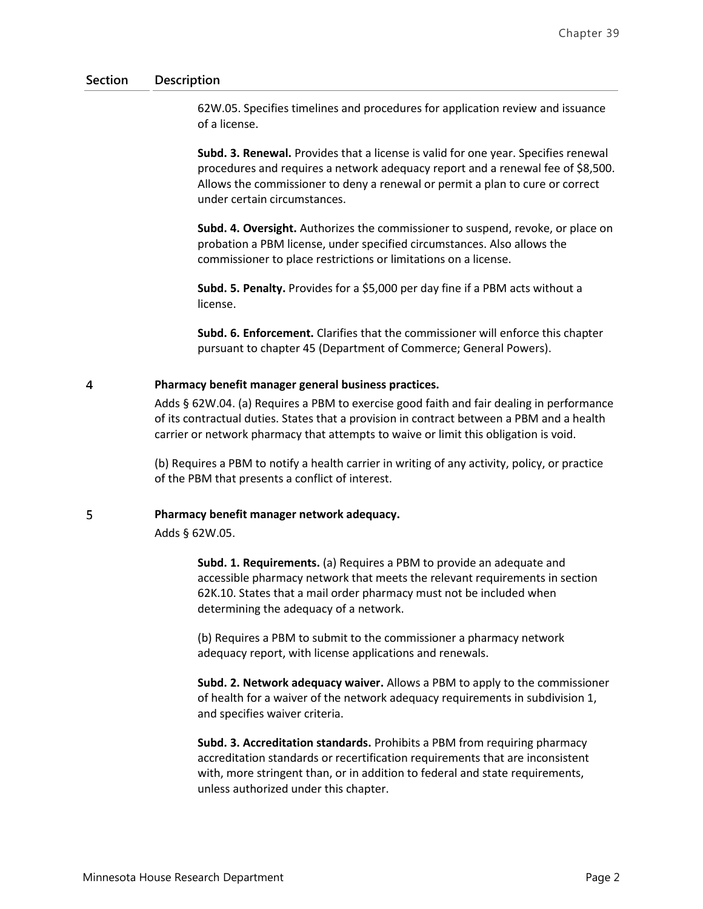62W.05. Specifies timelines and procedures for application review and issuance of a license.

**Subd. 3. Renewal.** Provides that a license is valid for one year. Specifies renewal procedures and requires a network adequacy report and a renewal fee of \$8,500. Allows the commissioner to deny a renewal or permit a plan to cure or correct under certain circumstances.

**Subd. 4. Oversight.** Authorizes the commissioner to suspend, revoke, or place on probation a PBM license, under specified circumstances. Also allows the commissioner to place restrictions or limitations on a license.

**Subd. 5. Penalty.** Provides for a \$5,000 per day fine if a PBM acts without a license.

**Subd. 6. Enforcement.** Clarifies that the commissioner will enforce this chapter pursuant to chapter 45 (Department of Commerce; General Powers).

#### 4 **Pharmacy benefit manager general business practices.**

Adds § 62W.04. (a) Requires a PBM to exercise good faith and fair dealing in performance of its contractual duties. States that a provision in contract between a PBM and a health carrier or network pharmacy that attempts to waive or limit this obligation is void.

(b) Requires a PBM to notify a health carrier in writing of any activity, policy, or practice of the PBM that presents a conflict of interest.

#### 5 **Pharmacy benefit manager network adequacy.**

Adds § 62W.05.

**Subd. 1. Requirements.** (a) Requires a PBM to provide an adequate and accessible pharmacy network that meets the relevant requirements in section 62K.10. States that a mail order pharmacy must not be included when determining the adequacy of a network.

(b) Requires a PBM to submit to the commissioner a pharmacy network adequacy report, with license applications and renewals.

**Subd. 2. Network adequacy waiver.** Allows a PBM to apply to the commissioner of health for a waiver of the network adequacy requirements in subdivision 1, and specifies waiver criteria.

**Subd. 3. Accreditation standards.** Prohibits a PBM from requiring pharmacy accreditation standards or recertification requirements that are inconsistent with, more stringent than, or in addition to federal and state requirements, unless authorized under this chapter.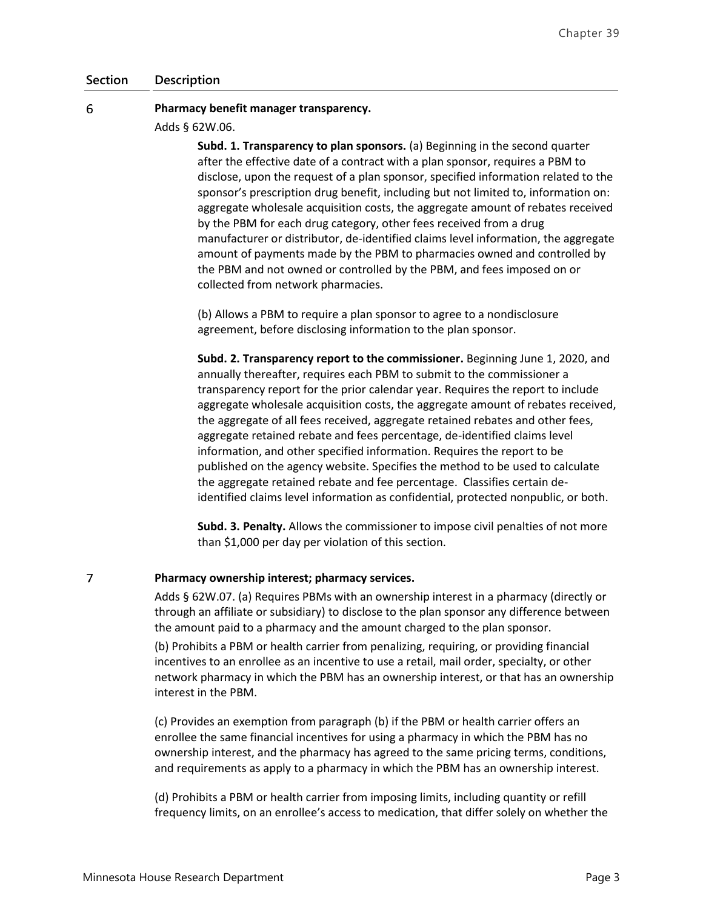#### 6 **Pharmacy benefit manager transparency.**

Adds § 62W.06.

**Subd. 1. Transparency to plan sponsors.** (a) Beginning in the second quarter after the effective date of a contract with a plan sponsor, requires a PBM to disclose, upon the request of a plan sponsor, specified information related to the sponsor's prescription drug benefit, including but not limited to, information on: aggregate wholesale acquisition costs, the aggregate amount of rebates received by the PBM for each drug category, other fees received from a drug manufacturer or distributor, de-identified claims level information, the aggregate amount of payments made by the PBM to pharmacies owned and controlled by the PBM and not owned or controlled by the PBM, and fees imposed on or collected from network pharmacies.

(b) Allows a PBM to require a plan sponsor to agree to a nondisclosure agreement, before disclosing information to the plan sponsor.

**Subd. 2. Transparency report to the commissioner.** Beginning June 1, 2020, and annually thereafter, requires each PBM to submit to the commissioner a transparency report for the prior calendar year. Requires the report to include aggregate wholesale acquisition costs, the aggregate amount of rebates received, the aggregate of all fees received, aggregate retained rebates and other fees, aggregate retained rebate and fees percentage, de-identified claims level information, and other specified information. Requires the report to be published on the agency website. Specifies the method to be used to calculate the aggregate retained rebate and fee percentage. Classifies certain deidentified claims level information as confidential, protected nonpublic, or both.

**Subd. 3. Penalty.** Allows the commissioner to impose civil penalties of not more than \$1,000 per day per violation of this section.

#### $\overline{7}$ **Pharmacy ownership interest; pharmacy services.**

Adds § 62W.07. (a) Requires PBMs with an ownership interest in a pharmacy (directly or through an affiliate or subsidiary) to disclose to the plan sponsor any difference between the amount paid to a pharmacy and the amount charged to the plan sponsor.

(b) Prohibits a PBM or health carrier from penalizing, requiring, or providing financial incentives to an enrollee as an incentive to use a retail, mail order, specialty, or other network pharmacy in which the PBM has an ownership interest, or that has an ownership interest in the PBM.

(c) Provides an exemption from paragraph (b) if the PBM or health carrier offers an enrollee the same financial incentives for using a pharmacy in which the PBM has no ownership interest, and the pharmacy has agreed to the same pricing terms, conditions, and requirements as apply to a pharmacy in which the PBM has an ownership interest.

(d) Prohibits a PBM or health carrier from imposing limits, including quantity or refill frequency limits, on an enrollee's access to medication, that differ solely on whether the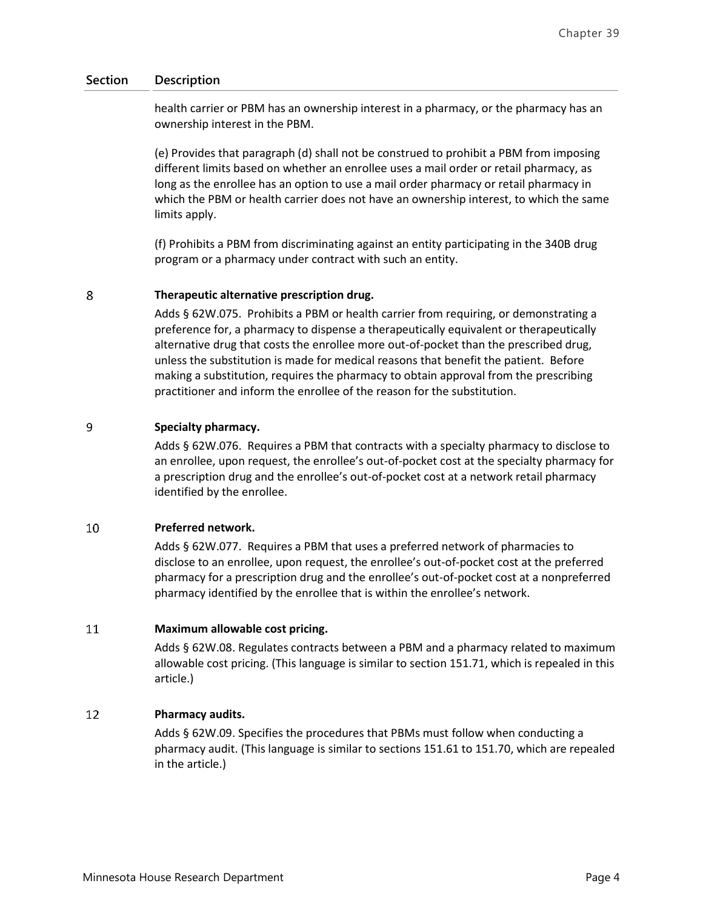health carrier or PBM has an ownership interest in a pharmacy, or the pharmacy has an ownership interest in the PBM.

(e) Provides that paragraph (d) shall not be construed to prohibit a PBM from imposing different limits based on whether an enrollee uses a mail order or retail pharmacy, as long as the enrollee has an option to use a mail order pharmacy or retail pharmacy in which the PBM or health carrier does not have an ownership interest, to which the same limits apply.

(f) Prohibits a PBM from discriminating against an entity participating in the 340B drug program or a pharmacy under contract with such an entity.

#### 8 **Therapeutic alternative prescription drug.**

Adds § 62W.075. Prohibits a PBM or health carrier from requiring, or demonstrating a preference for, a pharmacy to dispense a therapeutically equivalent or therapeutically alternative drug that costs the enrollee more out-of-pocket than the prescribed drug, unless the substitution is made for medical reasons that benefit the patient. Before making a substitution, requires the pharmacy to obtain approval from the prescribing practitioner and inform the enrollee of the reason for the substitution.

#### 9 **Specialty pharmacy.**

Adds § 62W.076. Requires a PBM that contracts with a specialty pharmacy to disclose to an enrollee, upon request, the enrollee's out-of-pocket cost at the specialty pharmacy for a prescription drug and the enrollee's out-of-pocket cost at a network retail pharmacy identified by the enrollee.

#### 10 **Preferred network.**

Adds § 62W.077. Requires a PBM that uses a preferred network of pharmacies to disclose to an enrollee, upon request, the enrollee's out-of-pocket cost at the preferred pharmacy for a prescription drug and the enrollee's out-of-pocket cost at a nonpreferred pharmacy identified by the enrollee that is within the enrollee's network.

#### 11 **Maximum allowable cost pricing.**

Adds § 62W.08. Regulates contracts between a PBM and a pharmacy related to maximum allowable cost pricing. (This language is similar to section 151.71, which is repealed in this article.)

#### 12 **Pharmacy audits.**

Adds § 62W.09. Specifies the procedures that PBMs must follow when conducting a pharmacy audit. (This language is similar to sections 151.61 to 151.70, which are repealed in the article.)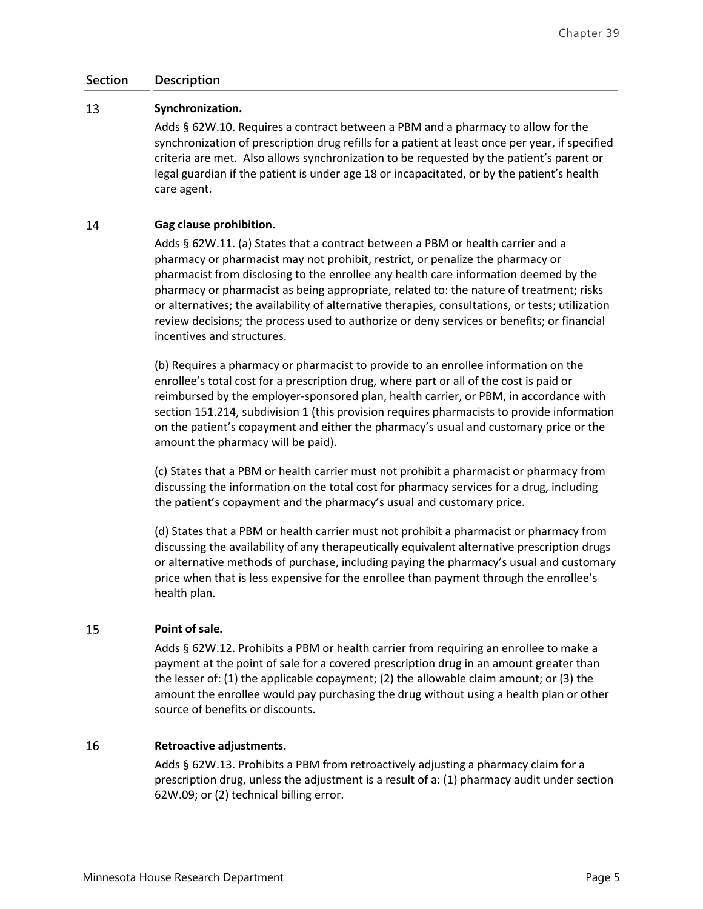#### 13 **Synchronization.**

Adds § 62W.10. Requires a contract between a PBM and a pharmacy to allow for the synchronization of prescription drug refills for a patient at least once per year, if specified criteria are met. Also allows synchronization to be requested by the patient's parent or legal guardian if the patient is under age 18 or incapacitated, or by the patient's health care agent.

#### 14 **Gag clause prohibition.**

Adds § 62W.11. (a) States that a contract between a PBM or health carrier and a pharmacy or pharmacist may not prohibit, restrict, or penalize the pharmacy or pharmacist from disclosing to the enrollee any health care information deemed by the pharmacy or pharmacist as being appropriate, related to: the nature of treatment; risks or alternatives; the availability of alternative therapies, consultations, or tests; utilization review decisions; the process used to authorize or deny services or benefits; or financial incentives and structures.

(b) Requires a pharmacy or pharmacist to provide to an enrollee information on the enrollee's total cost for a prescription drug, where part or all of the cost is paid or reimbursed by the employer-sponsored plan, health carrier, or PBM, in accordance with section 151.214, subdivision 1 (this provision requires pharmacists to provide information on the patient's copayment and either the pharmacy's usual and customary price or the amount the pharmacy will be paid).

(c) States that a PBM or health carrier must not prohibit a pharmacist or pharmacy from discussing the information on the total cost for pharmacy services for a drug, including the patient's copayment and the pharmacy's usual and customary price.

(d) States that a PBM or health carrier must not prohibit a pharmacist or pharmacy from discussing the availability of any therapeutically equivalent alternative prescription drugs or alternative methods of purchase, including paying the pharmacy's usual and customary price when that is less expensive for the enrollee than payment through the enrollee's health plan.

#### 15 **Point of sale.**

Adds § 62W.12. Prohibits a PBM or health carrier from requiring an enrollee to make a payment at the point of sale for a covered prescription drug in an amount greater than the lesser of: (1) the applicable copayment; (2) the allowable claim amount; or (3) the amount the enrollee would pay purchasing the drug without using a health plan or other source of benefits or discounts.

#### 16 **Retroactive adjustments.**

Adds § 62W.13. Prohibits a PBM from retroactively adjusting a pharmacy claim for a prescription drug, unless the adjustment is a result of a: (1) pharmacy audit under section 62W.09; or (2) technical billing error.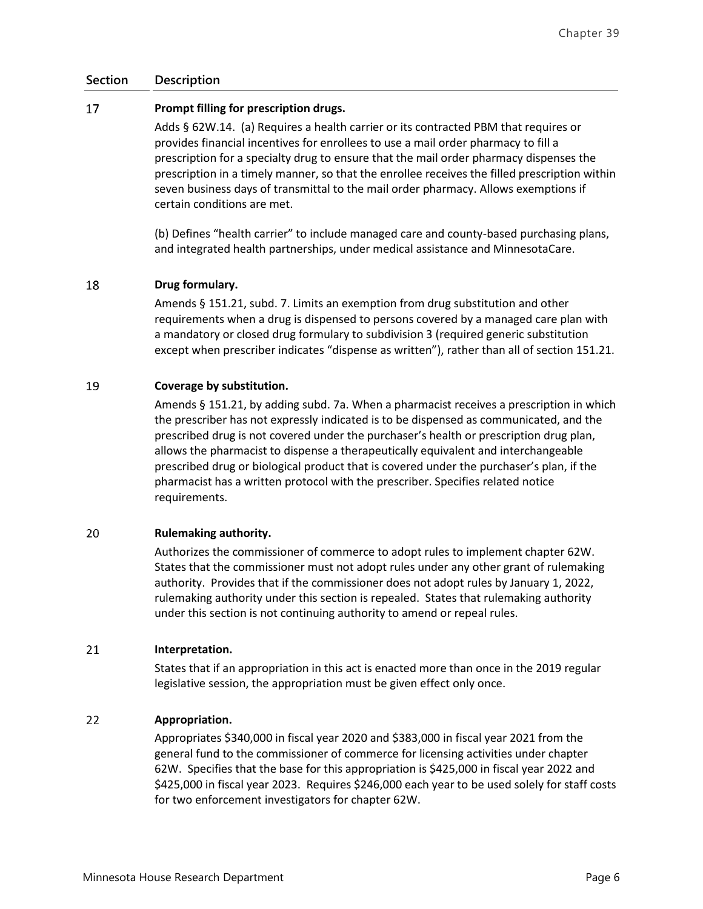#### 17 **Prompt filling for prescription drugs.**

Adds § 62W.14. (a) Requires a health carrier or its contracted PBM that requires or provides financial incentives for enrollees to use a mail order pharmacy to fill a prescription for a specialty drug to ensure that the mail order pharmacy dispenses the prescription in a timely manner, so that the enrollee receives the filled prescription within seven business days of transmittal to the mail order pharmacy. Allows exemptions if certain conditions are met.

(b) Defines "health carrier" to include managed care and county-based purchasing plans, and integrated health partnerships, under medical assistance and MinnesotaCare.

#### 18 **Drug formulary.**

Amends § 151.21, subd. 7. Limits an exemption from drug substitution and other requirements when a drug is dispensed to persons covered by a managed care plan with a mandatory or closed drug formulary to subdivision 3 (required generic substitution except when prescriber indicates "dispense as written"), rather than all of section 151.21.

#### 19 **Coverage by substitution.**

Amends § 151.21, by adding subd. 7a. When a pharmacist receives a prescription in which the prescriber has not expressly indicated is to be dispensed as communicated, and the prescribed drug is not covered under the purchaser's health or prescription drug plan, allows the pharmacist to dispense a therapeutically equivalent and interchangeable prescribed drug or biological product that is covered under the purchaser's plan, if the pharmacist has a written protocol with the prescriber. Specifies related notice requirements.

#### 20 **Rulemaking authority.**

Authorizes the commissioner of commerce to adopt rules to implement chapter 62W. States that the commissioner must not adopt rules under any other grant of rulemaking authority. Provides that if the commissioner does not adopt rules by January 1, 2022, rulemaking authority under this section is repealed. States that rulemaking authority under this section is not continuing authority to amend or repeal rules.

#### 21 **Interpretation.**

States that if an appropriation in this act is enacted more than once in the 2019 regular legislative session, the appropriation must be given effect only once.

#### 22 **Appropriation.**

Appropriates \$340,000 in fiscal year 2020 and \$383,000 in fiscal year 2021 from the general fund to the commissioner of commerce for licensing activities under chapter 62W. Specifies that the base for this appropriation is \$425,000 in fiscal year 2022 and \$425,000 in fiscal year 2023. Requires \$246,000 each year to be used solely for staff costs for two enforcement investigators for chapter 62W.